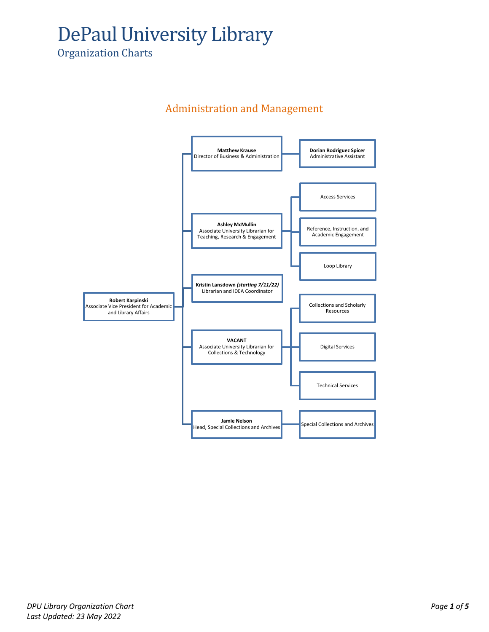# DePaul University Library

Organization Charts

#### Administration and Management

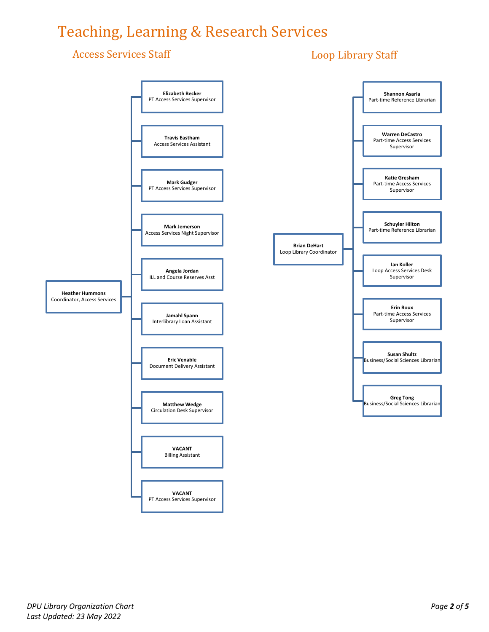### Teaching, Learning & Research Services

#### Access Services Staff

#### Loop Library Staff

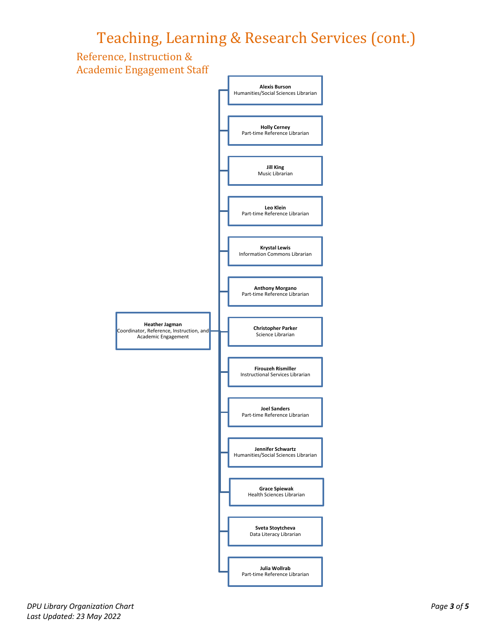### Teaching, Learning & Research Services (cont.)



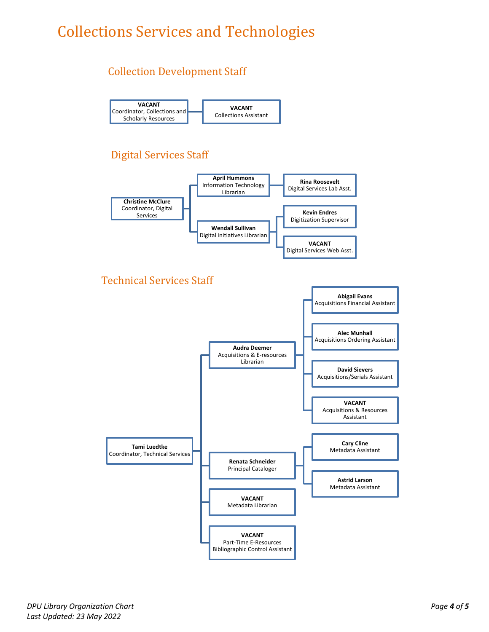## Collections Services and Technologies

#### Collection Development Staff